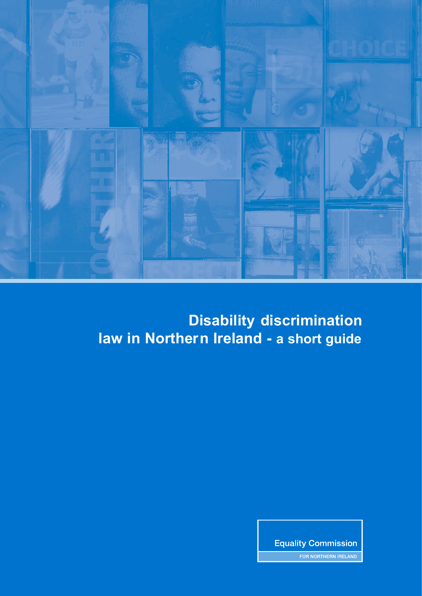

## **Disability discrimination law in Northern Ireland - a short guide**

**Equality Commission** 

FOR NORTHERN IRELAND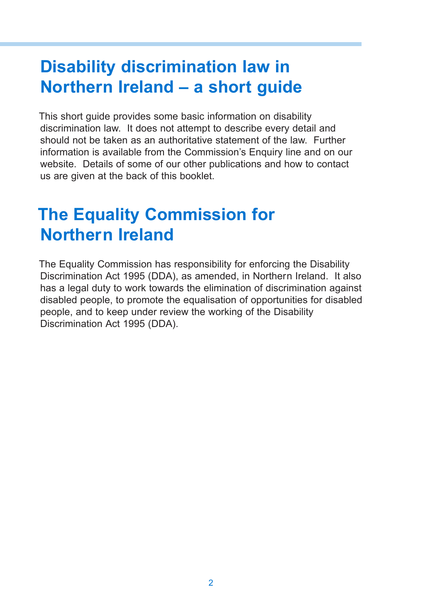# **Disability discrimination law in Northern Ireland – a short guide**

This short guide provides some basic information on disability discrimination law. It does not attempt to describe every detail and should not be taken as an authoritative statement of the law. Further information is available from the Commission's Enquiry line and on our website. Details of some of our other publications and how to contact us are given at the back of this booklet.

## **The Equality Commission for Northern Ireland**

The Equality Commission has responsibility for enforcing the Disability Discrimination Act 1995 (DDA), as amended, in Northern Ireland. It also has a legal duty to work towards the elimination of discrimination against disabled people, to promote the equalisation of opportunities for disabled people, and to keep under review the working of the Disability Discrimination Act 1995 (DDA).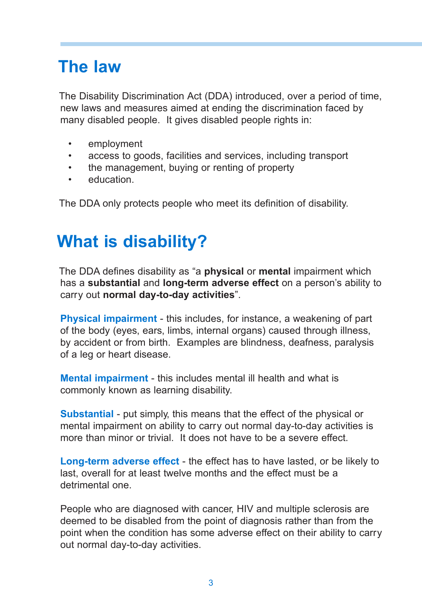# **The law**

The Disability Discrimination Act (DDA) introduced, over a period of time, new laws and measures aimed at ending the discrimination faced by many disabled people. It gives disabled people rights in:

- employment
- access to goods, facilities and services, including transport
- the management, buying or renting of property
- education.

The DDA only protects people who meet its definition of disability.

# **What is disability?**

The DDA defines disability as "a **physical** or **mental** impairment which has a **substantial** and **long-term adverse effect** on a person's ability to carry out **normal day-to-day activities**".

**Physical impairment** - this includes, for instance, a weakening of part of the body (eyes, ears, limbs, internal organs) caused through illness, by accident or from birth. Examples are blindness, deafness, paralysis of a leg or heart disease.

**Mental impairment** - this includes mental ill health and what is commonly known as learning disability.

**Substantial** - put simply, this means that the effect of the physical or mental impairment on ability to carry out normal day-to-day activities is more than minor or trivial. It does not have to be a severe effect.

**Long-term adverse effect** - the effect has to have lasted, or be likely to last, overall for at least twelve months and the effect must be a detrimental one.

People who are diagnosed with cancer, HIV and multiple sclerosis are deemed to be disabled from the point of diagnosis rather than from the point when the condition has some adverse effect on their ability to carry out normal day-to-day activities.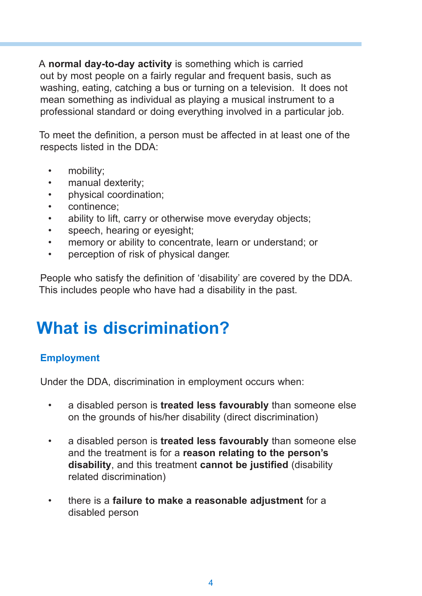A **normal day-to-day activity** is something which is carried out by most people on a fairly regular and frequent basis, such as washing, eating, catching a bus or turning on a television. It does not mean something as individual as playing a musical instrument to a professional standard or doing everything involved in a particular job.

To meet the definition, a person must be affected in at least one of the respects listed in the DDA:

- mobility:
- manual dexterity;
- physical coordination;
- continence;
- ability to lift, carry or otherwise move everyday objects;
- speech, hearing or eyesight;
- memory or ability to concentrate, learn or understand; or
- perception of risk of physical danger.

People who satisfy the definition of 'disability' are covered by the DDA. This includes people who have had a disability in the past.

# **What is discrimination?**

### **Employment**

Under the DDA, discrimination in employment occurs when:

- a disabled person is **treated less favourably** than someone else on the grounds of his/her disability (direct discrimination)
- a disabled person is **treated less favourably** than someone else and the treatment is for a **reason relating to the person's disability**, and this treatment **cannot be justified** (disability related discrimination)
- there is a **failure to make a reasonable adjustment** for a disabled person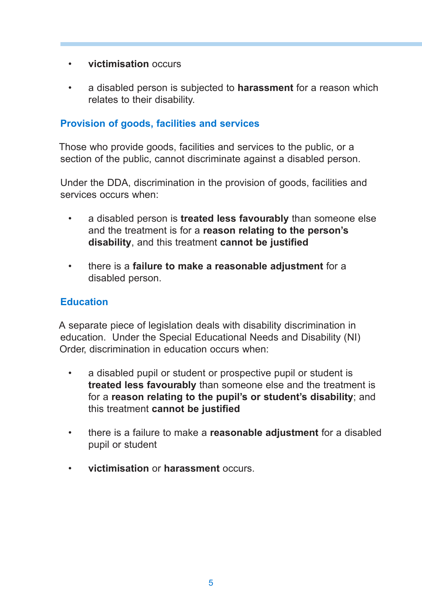- **victimisation** occurs
- a disabled person is subjected to **harassment** for a reason which relates to their disability.

### **Provision of goods, facilities and services**

Those who provide goods, facilities and services to the public, or a section of the public, cannot discriminate against a disabled person.

Under the DDA, discrimination in the provision of goods, facilities and services occurs when:

- a disabled person is **treated less favourably** than someone else and the treatment is for a **reason relating to the person's disability**, and this treatment **cannot be justified**
- there is a **failure to make a reasonable adjustment** for a disabled person.

### **Education**

A separate piece of legislation deals with disability discrimination in education. Under the Special Educational Needs and Disability (NI) Order, discrimination in education occurs when:

- a disabled pupil or student or prospective pupil or student is **treated less favourably** than someone else and the treatment is for a **reason relating to the pupil's or student's disability**; and this treatment **cannot be justified**
- there is a failure to make a **reasonable adjustment** for a disabled pupil or student
- **victimisation** or **harassment** occurs.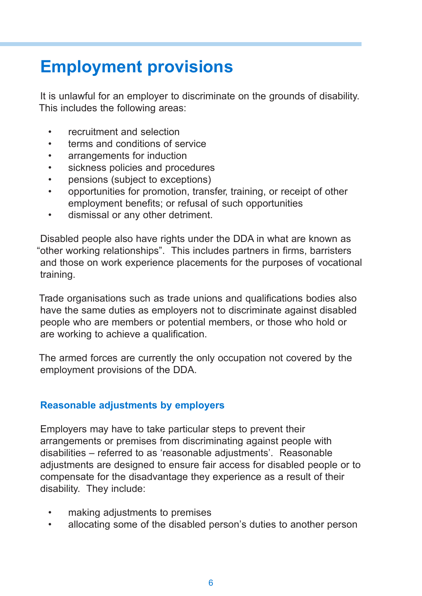# **Employment provisions**

It is unlawful for an employer to discriminate on the grounds of disability. This includes the following areas:

- recruitment and selection
- terms and conditions of service
- arrangements for induction
- sickness policies and procedures
- pensions (subject to exceptions)
- opportunities for promotion, transfer, training, or receipt of other employment benefits; or refusal of such opportunities
- dismissal or any other detriment.

Disabled people also have rights under the DDA in what are known as "other working relationships". This includes partners in firms, barristers and those on work experience placements for the purposes of vocational training.

Trade organisations such as trade unions and qualifications bodies also have the same duties as employers not to discriminate against disabled people who are members or potential members, or those who hold or are working to achieve a qualification.

The armed forces are currently the only occupation not covered by the employment provisions of the DDA.

### **Reasonable adjustments by employers**

Employers may have to take particular steps to prevent their arrangements or premises from discriminating against people with disabilities – referred to as 'reasonable adjustments'. Reasonable adjustments are designed to ensure fair access for disabled people or to compensate for the disadvantage they experience as a result of their disability. They include:

- making adjustments to premises
- allocating some of the disabled person's duties to another person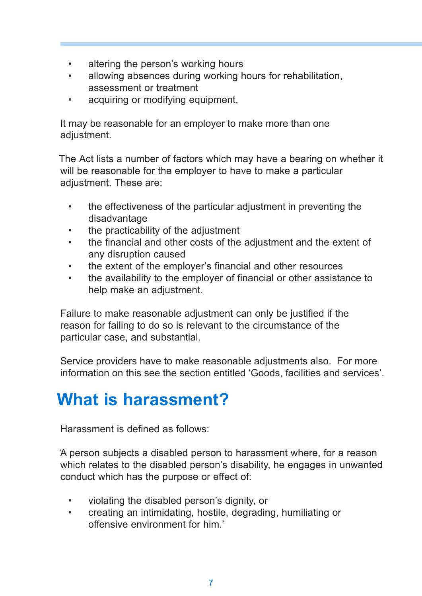- altering the person's working hours
- allowing absences during working hours for rehabilitation, assessment or treatment
- acquiring or modifying equipment.

It may be reasonable for an employer to make more than one adjustment.

The Act lists a number of factors which may have a bearing on whether it will be reasonable for the employer to have to make a particular adjustment. These are:

- the effectiveness of the particular adjustment in preventing the disadvantage
- the practicability of the adjustment
- the financial and other costs of the adjustment and the extent of any disruption caused
- the extent of the employer's financial and other resources
- the availability to the employer of financial or other assistance to help make an adjustment.

Failure to make reasonable adjustment can only be justified if the reason for failing to do so is relevant to the circumstance of the particular case, and substantial.

Service providers have to make reasonable adjustments also. For more information on this see the section entitled 'Goods, facilities and services'.

## **What is harassment?**

Harassment is defined as follows:

'A person subjects a disabled person to harassment where, for a reason which relates to the disabled person's disability, he engages in unwanted conduct which has the purpose or effect of:

- violating the disabled person's dignity, or
- creating an intimidating, hostile, degrading, humiliating or offensive environment for him.'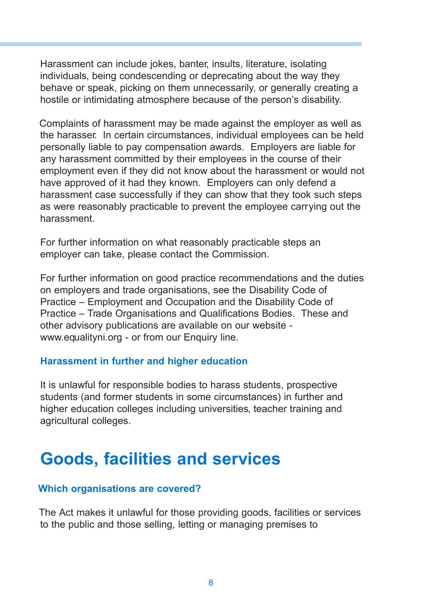Harassment can include jokes, banter, insults, literature, isolating individuals, being condescending or deprecating about the way they behave or speak, picking on them unnecessarily, or generally creating a hostile or intimidating atmosphere because of the person's disability.

Complaints of harassment may be made against the employer as well as the harasser. In certain circumstances, individual employees can be held personally liable to pay compensation awards. Employers are liable for any harassment committed by their employees in the course of their employment even if they did not know about the harassment or would not have approved of it had they known. Employers can only defend a harassment case successfully if they can show that they took such steps as were reasonably practicable to prevent the employee carrying out the harassment.

For further information on what reasonably practicable steps an employer can take, please contact the Commission.

For further information on good practice recommendations and the duties on employers and trade organisations, see the Disability Code of Practice – Employment and Occupation and the Disability Code of Practice – Trade Organisations and Qualifications Bodies. These and other advisory publications are available on our website www.equalityni.org - or from our Enquiry line.

#### **Harassment in further and higher education**

It is unlawful for responsible bodies to harass students, prospective students (and former students in some circumstances) in further and higher education colleges including universities, teacher training and agricultural colleges.

## **Goods, facilities and services**

### **Which organisations are covered?**

The Act makes it unlawful for those providing goods, facilities or services to the public and those selling, letting or managing premises to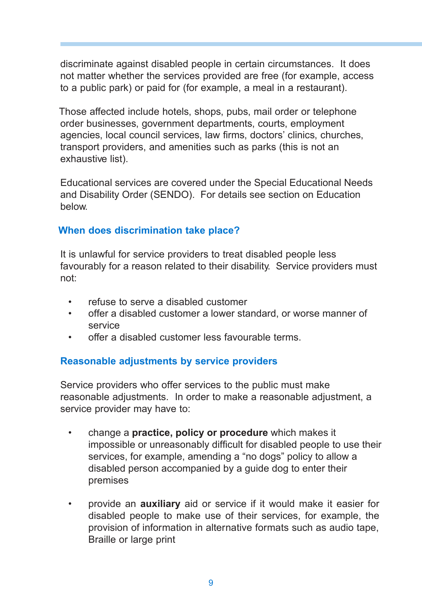discriminate against disabled people in certain circumstances. It does not matter whether the services provided are free (for example, access to a public park) or paid for (for example, a meal in a restaurant).

Those affected include hotels, shops, pubs, mail order or telephone order businesses, government departments, courts, employment agencies, local council services, law firms, doctors' clinics, churches, transport providers, and amenities such as parks (this is not an exhaustive list).

Educational services are covered under the Special Educational Needs and Disability Order (SENDO). For details see section on Education below.

### **When does discrimination take place?**

It is unlawful for service providers to treat disabled people less favourably for a reason related to their disability. Service providers must not:

- refuse to serve a disabled customer
- offer a disabled customer a lower standard, or worse manner of service
- offer a disabled customer less favourable terms.

### **Reasonable adjustments by service providers**

Service providers who offer services to the public must make reasonable adjustments. In order to make a reasonable adjustment, a service provider may have to:

- change a **practice, policy or procedure** which makes it impossible or unreasonably difficult for disabled people to use their services, for example, amending a "no dogs" policy to allow a disabled person accompanied by a guide dog to enter their premises
- provide an **auxiliary** aid or service if it would make it easier for disabled people to make use of their services, for example, the provision of information in alternative formats such as audio tape, Braille or large print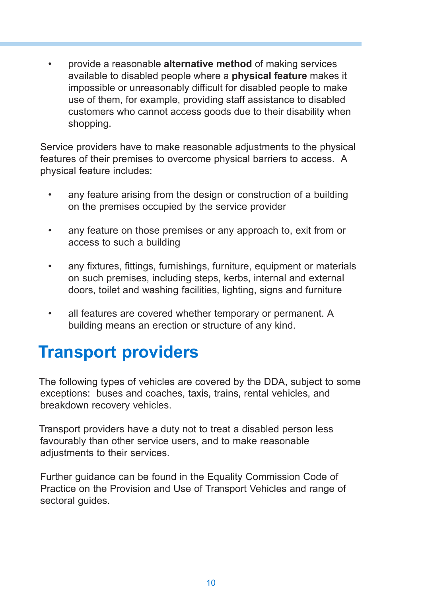• provide a reasonable **alternative method** of making services available to disabled people where a **physical feature** makes it impossible or unreasonably difficult for disabled people to make use of them, for example, providing staff assistance to disabled customers who cannot access goods due to their disability when shopping.

Service providers have to make reasonable adjustments to the physical features of their premises to overcome physical barriers to access. A physical feature includes:

- any feature arising from the design or construction of a building on the premises occupied by the service provider
- any feature on those premises or any approach to, exit from or access to such a building
- any fixtures, fittings, furnishings, furniture, equipment or materials on such premises, including steps, kerbs, internal and external doors, toilet and washing facilities, lighting, signs and furniture
- all features are covered whether temporary or permanent. A building means an erection or structure of any kind.

## **Transport providers**

The following types of vehicles are covered by the DDA, subject to some exceptions: buses and coaches, taxis, trains, rental vehicles, and breakdown recovery vehicles.

Transport providers have a duty not to treat a disabled person less favourably than other service users, and to make reasonable adjustments to their services.

Further guidance can be found in the Equality Commission Code of Practice on the Provision and Use of Transport Vehicles and range of sectoral guides.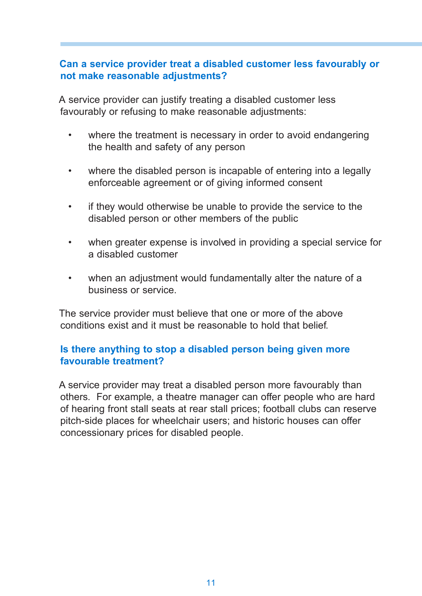### **Can a service provider treat a disabled customer less favourably or not make reasonable adjustments?**

A service provider can justify treating a disabled customer less favourably or refusing to make reasonable adjustments:

- where the treatment is necessary in order to avoid endangering the health and safety of any person
- where the disabled person is incapable of entering into a legally enforceable agreement or of giving informed consent
- if they would otherwise be unable to provide the service to the disabled person or other members of the public
- when greater expense is involved in providing a special service for a disabled customer
- when an adjustment would fundamentally alter the nature of a business or service.

The service provider must believe that one or more of the above conditions exist and it must be reasonable to hold that belief.

### **Is there anything to stop a disabled person being given more favourable treatment?**

A service provider may treat a disabled person more favourably than others. For example, a theatre manager can offer people who are hard of hearing front stall seats at rear stall prices; football clubs can reserve pitch-side places for wheelchair users; and historic houses can offer concessionary prices for disabled people.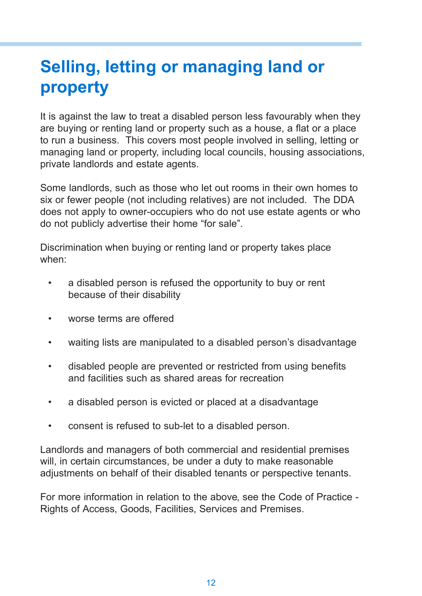# **Selling, letting or managing land or property**

It is against the law to treat a disabled person less favourably when they are buying or renting land or property such as a house, a flat or a place to run a business. This covers most people involved in selling, letting or managing land or property, including local councils, housing associations, private landlords and estate agents.

Some landlords, such as those who let out rooms in their own homes to six or fewer people (not including relatives) are not included. The DDA does not apply to owner-occupiers who do not use estate agents or who do not publicly advertise their home "for sale".

Discrimination when buying or renting land or property takes place when:

- a disabled person is refused the opportunity to buy or rent because of their disability
- worse terms are offered
- waiting lists are manipulated to a disabled person's disadvantage
- disabled people are prevented or restricted from using benefits and facilities such as shared areas for recreation
- a disabled person is evicted or placed at a disadvantage
- consent is refused to sub-let to a disabled person.

Landlords and managers of both commercial and residential premises will, in certain circumstances, be under a duty to make reasonable adjustments on behalf of their disabled tenants or perspective tenants.

For more information in relation to the above, see the Code of Practice - Rights of Access, Goods, Facilities, Services and Premises.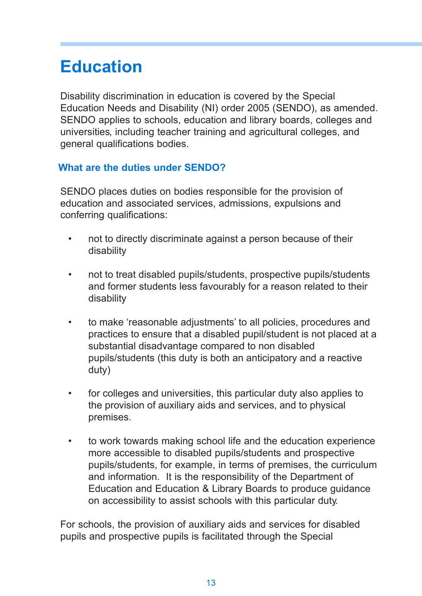# **Education**

Disability discrimination in education is covered by the Special Education Needs and Disability (NI) order 2005 (SENDO), as amended. SENDO applies to schools, education and library boards, colleges and universities, including teacher training and agricultural colleges, and general qualifications bodies.

### **What are the duties under SENDO?**

SENDO places duties on bodies responsible for the provision of education and associated services, admissions, expulsions and conferring qualifications:

- not to directly discriminate against a person because of their disability
- not to treat disabled pupils/students, prospective pupils/students and former students less favourably for a reason related to their disability
- to make 'reasonable adjustments' to all policies, procedures and practices to ensure that a disabled pupil/student is not placed at a substantial disadvantage compared to non disabled pupils/students (this duty is both an anticipatory and a reactive duty)
- for colleges and universities, this particular duty also applies to the provision of auxiliary aids and services, and to physical premises.
- to work towards making school life and the education experience more accessible to disabled pupils/students and prospective pupils/students, for example, in terms of premises, the curriculum and information. It is the responsibility of the Department of Education and Education & Library Boards to produce guidance on accessibility to assist schools with this particular duty.

For schools, the provision of auxiliary aids and services for disabled pupils and prospective pupils is facilitated through the Special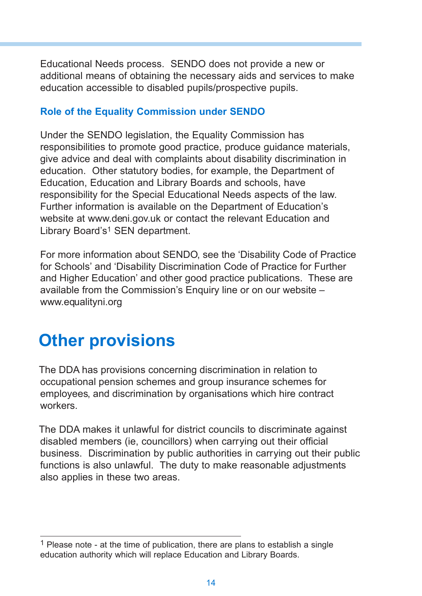Educational Needs process. SENDO does not provide a new or additional means of obtaining the necessary aids and services to make education accessible to disabled pupils/prospective pupils.

### **Role of the Equality Commission under SENDO**

Under the SENDO legislation, the Equality Commission has responsibilities to promote good practice, produce guidance materials, give advice and deal with complaints about disability discrimination in education. Other statutory bodies, for example, the Department of Education, Education and Library Boards and schools, have responsibility for the Special Educational Needs aspects of the law. Further information is available on the Department of Education's website at www.deni.gov.uk or contact the relevant Education and Library Board's<sup>1</sup> SEN department.

For more information about SENDO, see the 'Disability Code of Practice for Schools' and 'Disability Discrimination Code of Practice for Further and Higher Education' and other good practice publications. These are available from the Commission's Enquiry line or on our website – www.equalityni.org

## **Other provisions**

The DDA has provisions concerning discrimination in relation to occupational pension schemes and group insurance schemes for employees, and discrimination by organisations which hire contract workers.

The DDA makes it unlawful for district councils to discriminate against disabled members (ie, councillors) when carrying out their official business. Discrimination by public authorities in carrying out their public functions is also unlawful. The duty to make reasonable adjustments also applies in these two areas.

<sup>&</sup>lt;sup>1</sup> Please note - at the time of publication, there are plans to establish a single education authority which will replace Education and Library Boards.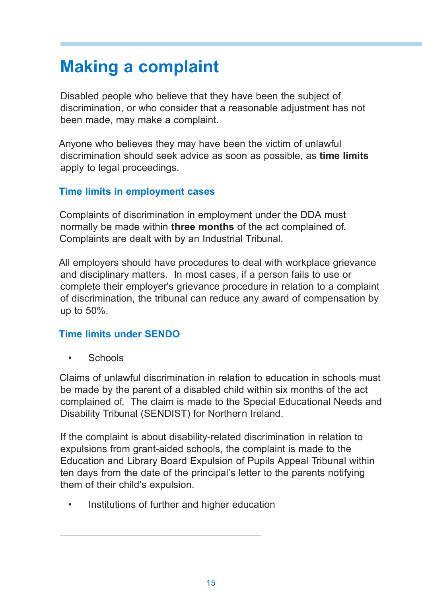# **Making a complaint**

Disabled people who believe that they have been the subject of discrimination, or who consider that a reasonable adjustment has not been made, may make a complaint.

Anyone who believes they may have been the victim of unlawful discrimination should seek advice as soon as possible, as **time limits** apply to legal proceedings.

### **Time limits in employment cases**

Complaints of discrimination in employment under the DDA must normally be made within **three months** of the act complained of. Complaints are dealt with by an Industrial Tribunal.

All employers should have procedures to deal with workplace grievance and disciplinary matters. In most cases, if a person fails to use or complete their employer's grievance procedure in relation to a complaint of discrimination, the tribunal can reduce any award of compensation by up to 50%.

### **Time limits under SENDO**

• Schools

Claims of unlawful discrimination in relation to education in schools must be made by the parent of a disabled child within six months of the act complained of. The claim is made to the Special Educational Needs and Disability Tribunal (SENDIST) for Northern Ireland.

If the complaint is about disability-related discrimination in relation to expulsions from grant-aided schools, the complaint is made to the Education and Library Board Expulsion of Pupils Appeal Tribunal within ten days from the date of the principal's letter to the parents notifying them of their child's expulsion.

Institutions of further and higher education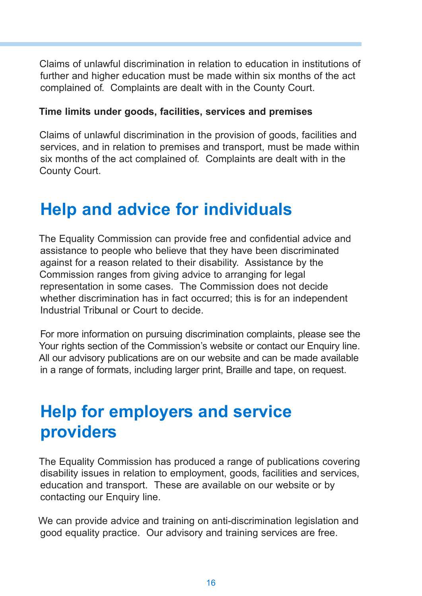Claims of unlawful discrimination in relation to education in institutions of further and higher education must be made within six months of the act complained of. Complaints are dealt with in the County Court.

### **Time limits under goods, facilities, services and premises**

Claims of unlawful discrimination in the provision of goods, facilities and services, and in relation to premises and transport, must be made within six months of the act complained of. Complaints are dealt with in the County Court.

## **Help and advice for individuals**

The Equality Commission can provide free and confidential advice and assistance to people who believe that they have been discriminated against for a reason related to their disability. Assistance by the Commission ranges from giving advice to arranging for legal representation in some cases. The Commission does not decide whether discrimination has in fact occurred; this is for an independent Industrial Tribunal or Court to decide.

For more information on pursuing discrimination complaints, please see the Your rights section of the Commission's website or contact our Enquiry line. All our advisory publications are on our website and can be made available in a range of formats, including larger print, Braille and tape, on request.

## **Help for employers and service providers**

The Equality Commission has produced a range of publications covering disability issues in relation to employment, goods, facilities and services, education and transport. These are available on our website or by contacting our Enquiry line.

We can provide advice and training on anti-discrimination legislation and good equality practice. Our advisory and training services are free.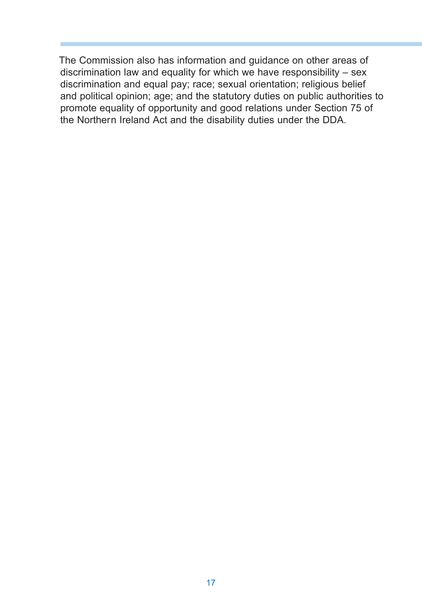The Commission also has information and guidance on other areas of discrimination law and equality for which we have responsibility – sex discrimination and equal pay; race; sexual orientation; religious belief and political opinion; age; and the statutory duties on public authorities to promote equality of opportunity and good relations under Section 75 of the Northern Ireland Act and the disability duties under the DDA.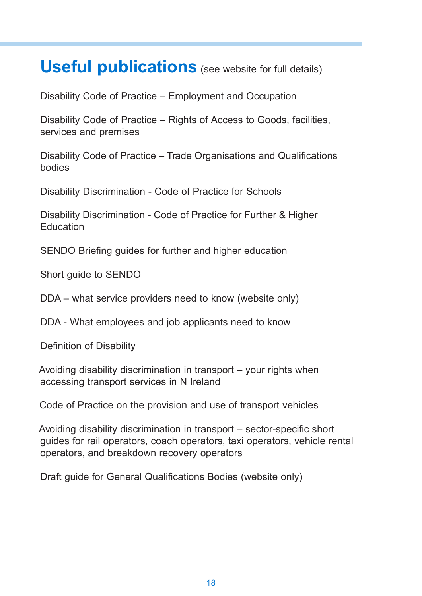### **Useful publications** (see website for full details)

Disability Code of Practice – Employment and Occupation

Disability Code of Practice – Rights of Access to Goods, facilities, services and premises

Disability Code of Practice – Trade Organisations and Qualifications bodies

Disability Discrimination - Code of Practice for Schools

Disability Discrimination - Code of Practice for Further & Higher **Education** 

SENDO Briefing guides for further and higher education

Short guide to SENDO

DDA – what service providers need to know (website only)

DDA - What employees and job applicants need to know

Definition of Disability

Avoiding disability discrimination in transport – your rights when accessing transport services in N Ireland

Code of Practice on the provision and use of transport vehicles

Avoiding disability discrimination in transport – sector-specific short guides for rail operators, coach operators, taxi operators, vehicle rental operators, and breakdown recovery operators

Draft guide for General Qualifications Bodies (website only)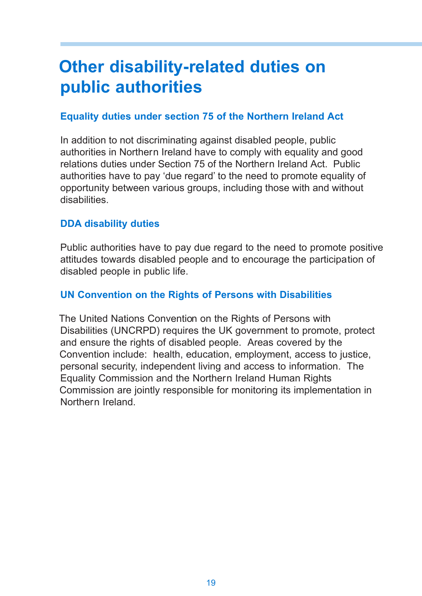# **Other disability-related duties on public authorities**

### **Equality duties under section 75 of the Northern Ireland Act**

In addition to not discriminating against disabled people, public authorities in Northern Ireland have to comply with equality and good relations duties under Section 75 of the Northern Ireland Act. Public authorities have to pay 'due regard' to the need to promote equality of opportunity between various groups, including those with and without disabilities.

### **DDA disability duties**

Public authorities have to pay due regard to the need to promote positive attitudes towards disabled people and to encourage the participation of disabled people in public life.

### **UN Convention on the Rights of Persons with Disabilities**

The United Nations Convention on the Rights of Persons with Disabilities (UNCRPD) requires the UK government to promote, protect and ensure the rights of disabled people. Areas covered by the Convention include: health, education, employment, access to justice, personal security, independent living and access to information. The Equality Commission and the Northern Ireland Human Rights Commission are jointly responsible for monitoring its implementation in Northern Ireland.